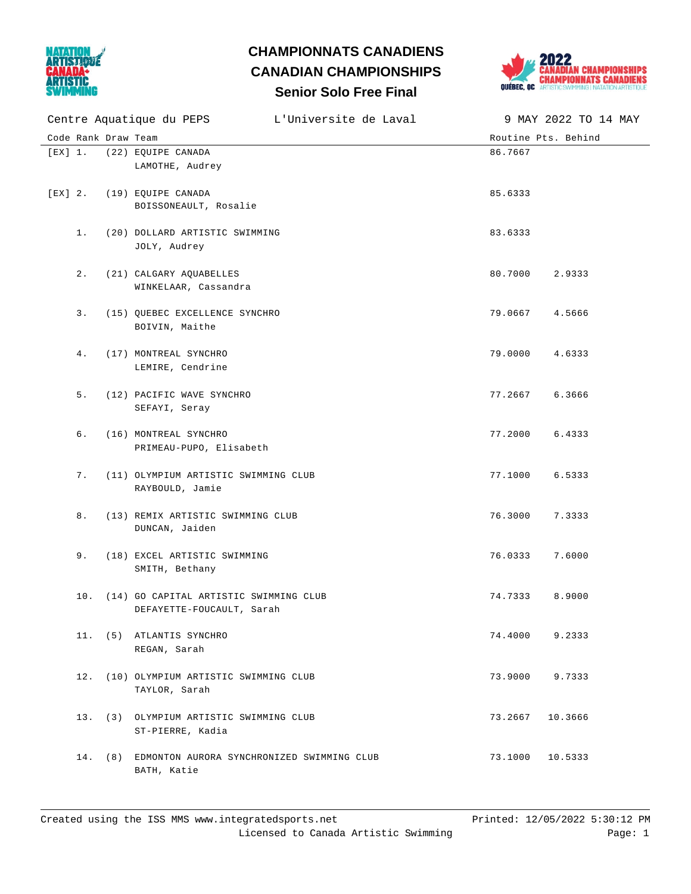

## **Senior Solo Free Final CHAMPIONNATS CANADIENS CANADIAN CHAMPIONSHIPS**



|         |                     | Centre Aquatique du PEPS L'Universite de Laval                          |                     | 9 MAY 2022 TO 14 MAY |
|---------|---------------------|-------------------------------------------------------------------------|---------------------|----------------------|
|         | Code Rank Draw Team |                                                                         | Routine Pts. Behind |                      |
| [EX] 1. |                     | (22) EQUIPE CANADA<br>LAMOTHE, Audrey                                   | 86.7667             |                      |
|         |                     | [EX] 2. (19) EQUIPE CANADA<br>BOISSONEAULT, Rosalie                     | 85.6333             |                      |
|         | 1.                  | (20) DOLLARD ARTISTIC SWIMMING<br>JOLY, Audrey                          | 83.6333             |                      |
|         | 2.                  | (21) CALGARY AQUABELLES<br>WINKELAAR, Cassandra                         | 80.7000             | 2.9333               |
|         | 3.                  | (15) QUEBEC EXCELLENCE SYNCHRO<br>BOIVIN, Maithe                        | 79.0667             | 4.5666               |
|         | 4.                  | (17) MONTREAL SYNCHRO<br>LEMIRE, Cendrine                               | 79.0000             | 4.6333               |
|         | 5.                  | (12) PACIFIC WAVE SYNCHRO<br>SEFAYI, Seray                              | 77.2667             | 6.3666               |
|         | 6.                  | (16) MONTREAL SYNCHRO<br>PRIMEAU-PUPO, Elisabeth                        | 77.2000             | 6.4333               |
|         | 7.                  | (11) OLYMPIUM ARTISTIC SWIMMING CLUB<br>RAYBOULD, Jamie                 | 77.1000             | 6.5333               |
|         | 8.                  | (13) REMIX ARTISTIC SWIMMING CLUB<br>DUNCAN, Jaiden                     | 76.3000             | 7.3333               |
|         | 9.                  | (18) EXCEL ARTISTIC SWIMMING<br>SMITH, Bethany                          | 76.0333             | 7.6000               |
|         |                     | 10. (14) GO CAPITAL ARTISTIC SWIMMING CLUB<br>DEFAYETTE-FOUCAULT, Sarah | 74.7333             | 8.9000               |
|         |                     | 11. (5) ATLANTIS SYNCHRO<br>REGAN, Sarah                                | 74.4000             | 9.2333               |
|         |                     | 12. (10) OLYMPIUM ARTISTIC SWIMMING CLUB<br>TAYLOR, Sarah               | 73.9000             | 9.7333               |
|         |                     | 13. (3) OLYMPIUM ARTISTIC SWIMMING CLUB<br>ST-PIERRE, Kadia             | 73.2667             | 10.3666              |
|         |                     | 14. (8) EDMONTON AURORA SYNCHRONIZED SWIMMING CLUB<br>BATH, Katie       | 73.1000             | 10.5333              |